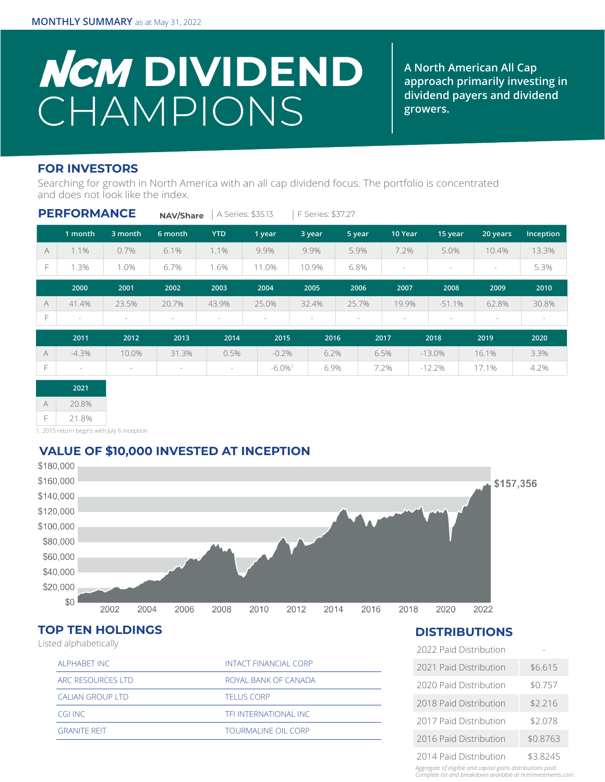# **NCM DIVIDEND** CHAMPIONS

**A North American All Cap approach primarily investing in dividend payers and dividend growers.**

#### **FOR INVESTORS**

Searching for growth in North America with an all cap dividend focus. The portfolio is concentrated and does not look like the index.

|           | <b>PERFORMANCE</b> |         | <b>NAV/Share</b> |            | A Series: \$35.13     | F Series: \$37.27 |        |                                 |                                 |                          |           |
|-----------|--------------------|---------|------------------|------------|-----------------------|-------------------|--------|---------------------------------|---------------------------------|--------------------------|-----------|
|           | 1 month            | 3 month | 6 month          | <b>YTD</b> | 1 year                | 3 year            | 5 year | 10 Year                         | 15 year                         | 20 years                 | Inception |
| $\forall$ | 1.1%               | 0.7%    | 6.1%             | 1.1%       | 9.9%                  | 9.9%              | 5.9%   | 7.2%                            | 5.0%                            | 10.4%                    | 13.3%     |
| F         | 1.3%               | 1.0%    | 6.7%             | 1.6%       | 11.0%                 | 10.9%             | 6.8%   | $\sim$                          | $\sim$                          | $\sim$                   | 5.3%      |
|           | 2000               | 2001    | 2002             | 2003       | 2004                  | 2005              | 2006   | 2007                            | 2008                            | 2009                     | 2010      |
| $\forall$ | 41.4%              | 23.5%   | 20.7%            | 43.9%      | 25.0%                 | 32.4%             | 25.7%  | 19.9%                           | $-51.1%$                        | 62.8%                    | 30.8%     |
| F         | $\,$               | $\,$    | $\sim$           | $\sim$     | $\sim$                | $\sim$            | $\sim$ | $\hspace{0.1mm}-\hspace{0.1mm}$ | $\hspace{0.1mm}-\hspace{0.1mm}$ | $\overline{\phantom{a}}$ | $\sim$    |
|           | 2011               | 2012    | 2013             | 2014       | 2015                  | 2016              |        | 2017                            | 2018                            | 2019                     | 2020      |
| $\forall$ | $-4.3\%$           | 10.0%   | 31.3%            | 0.5%       | $-0.2%$               | 6.2%              |        | 6.5%                            | $-13.0\%$                       | 16.1%                    | 3.3%      |
| F.        | $\sim$             | $\sim$  | $\sim$           | $\sim$     | $-6.0\%$ <sup>1</sup> | 6.9%              |        | 7.2%                            | $-12.2%$                        | 17.1%                    | 4.2%      |

| 2021 |       |  |  |  |
|------|-------|--|--|--|
|      | 20.8% |  |  |  |
| F    | 21.8% |  |  |  |

1. 2015 return begins with July 6 inception

## **VALUE OF \$10,000 INVESTED AT INCEPTION**



## **TOP TEN HOLDINGS**

Listed alphabetically

| ALPHABET INC            | <b>INTACT FINANCIAL CORP</b> |
|-------------------------|------------------------------|
| ARC RESOURCES LTD       | ROYAL BANK OF CANADA         |
| <b>CALIAN GROUP LTD</b> | <b>TELUS CORP</b>            |
| CGLINC                  | TELINTERNATIONAL INC         |
| <b>GRANITE REIT</b>     | <b>TOURMALINE OIL CORP</b>   |
|                         |                              |

#### **DISTRIBUTIONS**

| 2022 Paid Distribution |          |
|------------------------|----------|
| 2021 Paid Distribution | \$6.615  |
| 2020 Paid Distribution | \$0.757  |
| 2018 Paid Distribution | \$2.216  |
| 2017 Paid Distribution | \$2.078  |
| 2016 Paid Distribution | \$0.8763 |
| 2014 Paid Distribution | \$3.8245 |

*Aggregate of eligible and capital gains distributions paid. Complete list and breakdown available at ncminvestments.com.*